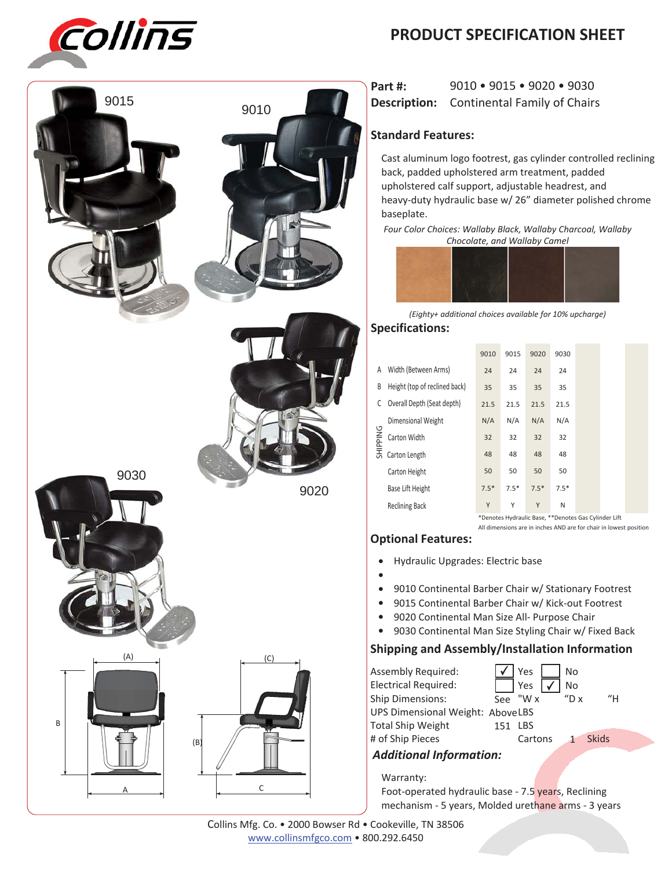## **PRODUCT SPECIFICATION SHEET**





**Part #: Description:** Continental Family of Chairs 9010 • 9015 • 9020 • 9030

#### **Standard Features:**

Cast aluminum logo footrest, gas cylinder controlled reclining back, padded upholstered arm treatment, padded upholstered calf support, adjustable headrest, and heavy-duty hydraulic base w/ 26" diameter polished chrome baseplate.

*Four Color Choices: Wallaby Black, Wallaby Charcoal, Wallaby Chocolate, and Wallaby Camel*

*(Eighty+ additional choices available for 10% upcharge)*

#### **Specifications:**

|                 |                                                      | 9010   | 9015   | 9020   | 9030   |  |  |  |  |  |
|-----------------|------------------------------------------------------|--------|--------|--------|--------|--|--|--|--|--|
| Α               | Width (Between Arms)                                 | 24     | 24     | 24     | 24     |  |  |  |  |  |
| B               | Height (top of reclined back)                        | 35     | 35     | 35     | 35     |  |  |  |  |  |
| C               | Overall Depth (Seat depth)                           | 21.5   | 21.5   | 21.5   | 21.5   |  |  |  |  |  |
| <b>SHIPPING</b> | Dimensional Weight                                   | N/A    | N/A    | N/A    | N/A    |  |  |  |  |  |
|                 | Carton Width                                         | 32     | 32     | 32     | 32     |  |  |  |  |  |
|                 | Carton Length                                        | 48     | 48     | 48     | 48     |  |  |  |  |  |
|                 | Carton Height                                        | 50     | 50     | 50     | 50     |  |  |  |  |  |
|                 | Base Lift Height                                     | $7.5*$ | $7.5*$ | $7.5*$ | $7.5*$ |  |  |  |  |  |
|                 | <b>Reclining Back</b>                                | Y      | Υ      | Y      | N      |  |  |  |  |  |
|                 | *Denotes Hydraulic Base, **Denotes Gas Cylinder Lift |        |        |        |        |  |  |  |  |  |

### **Optional Features:**

 $\bullet$ 

All dimensions are in inches AND are for chair in lowest position

- $\bullet$ Hydraulic Upgrades: Electric base
- 9010 Continental Barber Chair w/ Stationary Footrest
- 9015 Continental Barber Chair w/ Kick-out Footrest
- 9020 Continental Man Size All- Purpose Chair
- $\bullet$ 9030 Continental Man Size Styling Chair w/ Fixed Back

#### **Shipping and Assembly/Installation Information**



Warranty:

Foot-operated hydraulic base - 7.5 years, Reclining mechanism - 5 years, Molded urethane arms - 3 years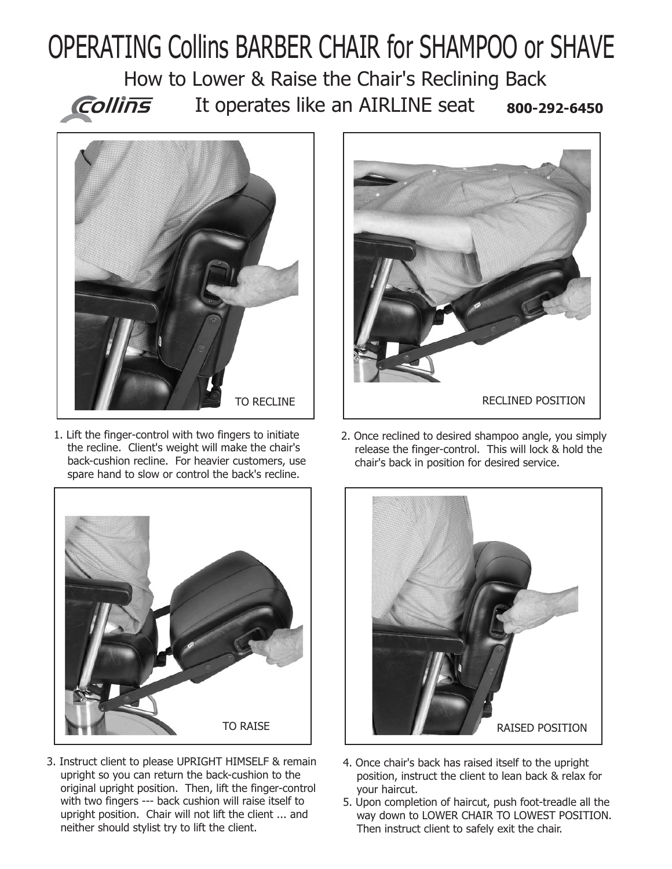# OPERATING Collins BARBER CHAIR for SHAMPOO or SHAVE

How to Lower & Raise the Chair's Reclining Back It operates like an AIRLINE seat Collins **800-292-6450**



1. Lift the finger-control with two fingers to initiate the recline. Client's weight will make the chair's back-cushion recline. For heavier customers, use spare hand to slow or control the back's recline.



2. Once reclined to desired shampoo angle, you simply release the finger-control. This will lock & hold the chair's back in position for desired service.



3. Instruct client to please UPRIGHT HIMSELF & remain upright so you can return the back-cushion to the original upright position. Then, lift the finger-control with two fingers --- back cushion will raise itself to upright position. Chair will not lift the client ... and neither should stylist try to lift the client.



- 4. Once chair's back has raised itself to the upright position, instruct the client to lean back & relax for your haircut.
- 5. Upon completion of haircut, push foot-treadle all the way down to LOWER CHAIR TO LOWEST POSITION. Then instruct client to safely exit the chair.